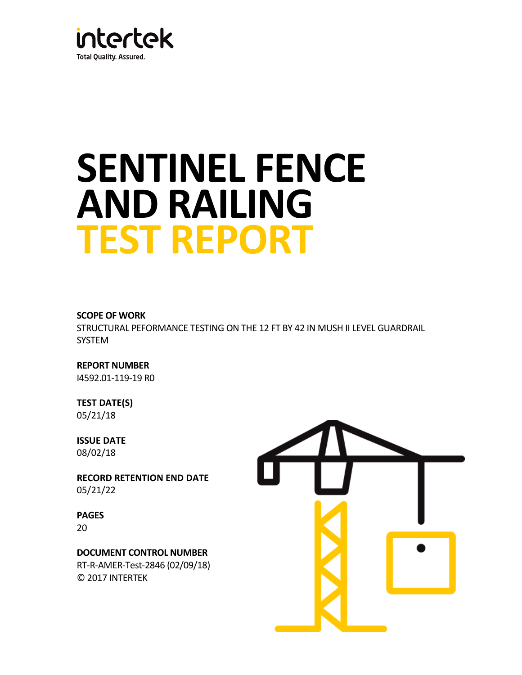

# **SENTINEL FENCE AND RAILING TEST REPORT**

#### **SCOPE OF WORK**

STRUCTURAL PEFORMANCE TESTING ON THE 12 FT BY 42 IN MUSH II LEVEL GUARDRAIL SYSTEM

**REPORT NUMBER** I4592.01-119-19 R0

# **TEST DATE(S)**

05/21/18

# **ISSUE DATE**

08/02/18

**RECORD RETENTION END DATE** 05/21/22

# **PAGES**

20

**DOCUMENT CONTROL NUMBER**

RT-R-AMER-Test-2846 (02/09/18) © 2017 INTERTEK

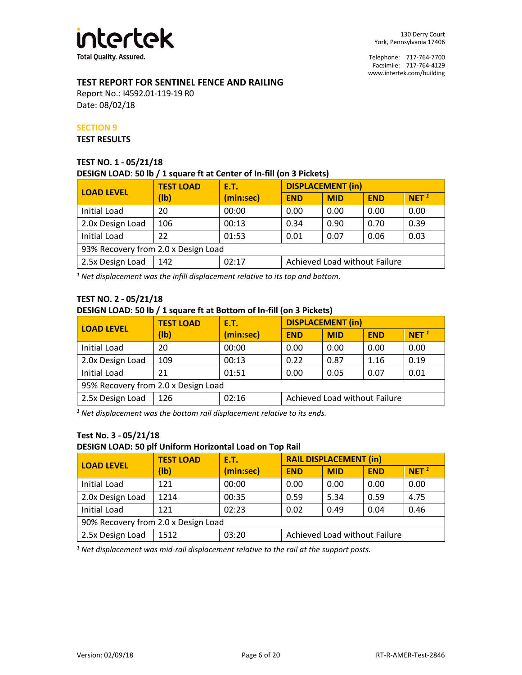

Telephone: 717-764-7700 Facsimile: 717-764-4129 www.intertek.com/building

## **TEST REPORT FOR SENTINEL FENCE AND RAILING**

Report No.: I4592.01-119-19 R0 Date: 08/02/18

#### **SECTION 9**

#### **TEST RESULTS**

#### **TEST NO. 1 - 05/21/18 DESIGN LOAD**: **50 lb / 1 square ft at Center of In-fill (on 3 Pickets)**

| <b>LOAD LEVEL</b>                   | <b>TEST LOAD</b> | <b>E.T.</b> | <b>DISPLACEMENT (in)</b>      |            |            |                  |
|-------------------------------------|------------------|-------------|-------------------------------|------------|------------|------------------|
|                                     | (1b)             | (min:sec)   | <b>END</b>                    | <b>MID</b> | <b>END</b> | NET <sup>1</sup> |
| Initial Load                        | 20               | 00:00       | 0.00                          | 0.00       | 0.00       | 0.00             |
| 2.0x Design Load                    | 106              | 00:13       | 0.34                          | 0.90       | 0.70       | 0.39             |
| <b>Initial Load</b>                 | 22               | 01:53       | 0.01                          | 0.07       | 0.06       | 0.03             |
| 93% Recovery from 2.0 x Design Load |                  |             |                               |            |            |                  |
| 2.5x Design Load                    | 142              | 02:17       | Achieved Load without Failure |            |            |                  |

*<sup>1</sup> Net displacement was the infill displacement relative to its top and bottom.*

# **TEST NO. 2 - 05/21/18**

#### **DESIGN LOAD: 50 lb / 1 square ft at Bottom of In-fill (on 3 Pickets)**

| <b>LOAD LEVEL</b>                   | <b>TEST LOAD</b> | <b>E.T.</b> | <b>DISPLACEMENT (in)</b>      |            |            |                  |
|-------------------------------------|------------------|-------------|-------------------------------|------------|------------|------------------|
|                                     | $(\mathsf{lb})$  | (min:sec)   | <b>END</b>                    | <b>MID</b> | <b>END</b> | NET <sup>1</sup> |
| Initial Load                        | 20               | 00:00       | 0.00                          | 0.00       | 0.00       | 0.00             |
| 2.0x Design Load                    | 109              | 00:13       | 0.22                          | 0.87       | 1.16       | 0.19             |
| <b>Initial Load</b>                 | 21               | 01:51       | 0.00                          | 0.05       | 0.07       | 0.01             |
| 95% Recovery from 2.0 x Design Load |                  |             |                               |            |            |                  |
| 2.5x Design Load                    | 126              | 02:16       | Achieved Load without Failure |            |            |                  |

*<sup>1</sup> Net displacement was the bottom rail displacement relative to its ends.*

#### **Test No. 3 - 05/21/18**

#### **DESIGN LOAD: 50 plf Uniform Horizontal Load on Top Rail**

| <b>LOAD LEVEL</b>                   | <b>TEST LOAD</b> | <b>E.T.</b> | <b>RAIL DISPLACEMENT (in)</b> |            |            |                  |
|-------------------------------------|------------------|-------------|-------------------------------|------------|------------|------------------|
|                                     | (1b)             | (min:sec)   | <b>END</b>                    | <b>MID</b> | <b>END</b> | NET <sup>1</sup> |
| Initial Load                        | 121              | 00:00       | 0.00                          | 0.00       | 0.00       | 0.00             |
| 2.0x Design Load                    | 1214             | 00:35       | 0.59                          | 5.34       | 0.59       | 4.75             |
| <b>Initial Load</b>                 | 121              | 02:23       | 0.02                          | 0.49       | 0.04       | 0.46             |
| 90% Recovery from 2.0 x Design Load |                  |             |                               |            |            |                  |
| 2.5x Design Load                    | 1512             | 03:20       | Achieved Load without Failure |            |            |                  |

*<sup>1</sup> Net displacement was mid-rail displacement relative to the rail at the support posts.*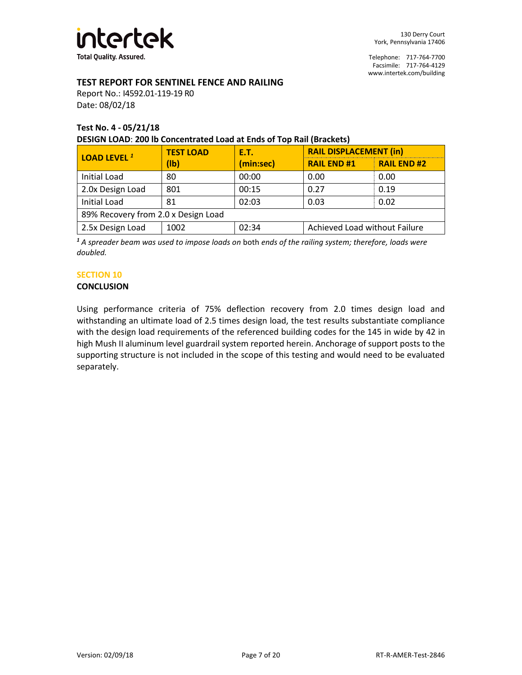

Telephone: 717-764-7700 Facsimile: 717-764-4129 www.intertek.com/building

#### **TEST REPORT FOR SENTINEL FENCE AND RAILING**

Report No.: I4592.01-119-19 R0 Date: 08/02/18

#### **Test No. 4 - 05/21/18 DESIGN LOAD**: **200 lb Concentrated Load at Ends of Top Rail (Brackets)**

| <b>LOAD LEVEL 1</b>                 | <b>TEST LOAD</b> | <b>E.T.</b> | <b>RAIL DISPLACEMENT (in)</b> |                    |  |  |
|-------------------------------------|------------------|-------------|-------------------------------|--------------------|--|--|
|                                     | (Ib)             | (min:sec)   | <b>RAIL END#1</b>             | <b>RAIL END #2</b> |  |  |
| <b>Initial Load</b>                 | 80               | 00:00       | 0.00                          | 0.00               |  |  |
| 2.0x Design Load                    | 801              | 00:15       | 0.27                          | 0.19               |  |  |
| <b>Initial Load</b>                 | 81               | 02:03       | 0.03                          | 0.02               |  |  |
| 89% Recovery from 2.0 x Design Load |                  |             |                               |                    |  |  |
| 2.5x Design Load                    | 1002             | 02:34       | Achieved Load without Failure |                    |  |  |

*<sup>1</sup> A spreader beam was used to impose loads on* both *ends of the railing system; therefore, loads were doubled.*

#### **SECTION 10**

#### **CONCLUSION**

Using performance criteria of 75% deflection recovery from 2.0 times design load and withstanding an ultimate load of 2.5 times design load, the test results substantiate compliance with the design load requirements of the referenced building codes for the 145 in wide by 42 in high Mush II aluminum level guardrail system reported herein. Anchorage of support posts to the supporting structure is not included in the scope of this testing and would need to be evaluated separately.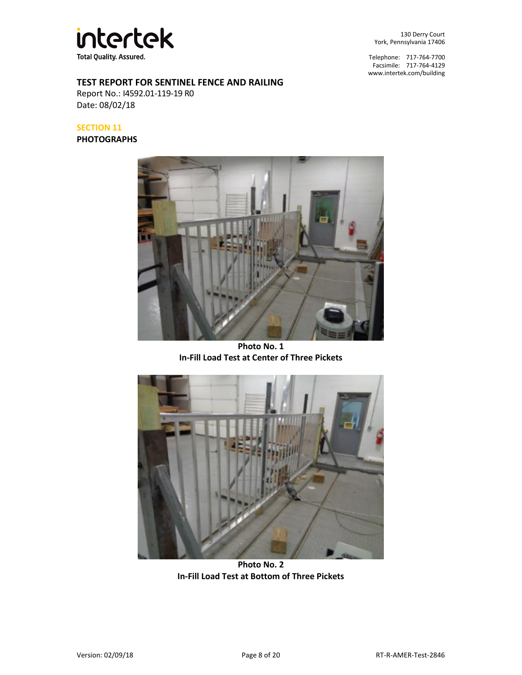

130 Derry Court York, Pennsylvania 17406

Telephone: 717-764-7700 Facsimile: 717-764-4129 www.intertek.com/building

#### **TEST REPORT FOR SENTINEL FENCE AND RAILING**

Report No.: I4592.01-119-19 R0 Date: 08/02/18

## **SECTION 11**

**PHOTOGRAPHS**



**Photo No. 1 In-Fill Load Test at Center of Three Pickets**



**Photo No. 2 In-Fill Load Test at Bottom of Three Pickets**